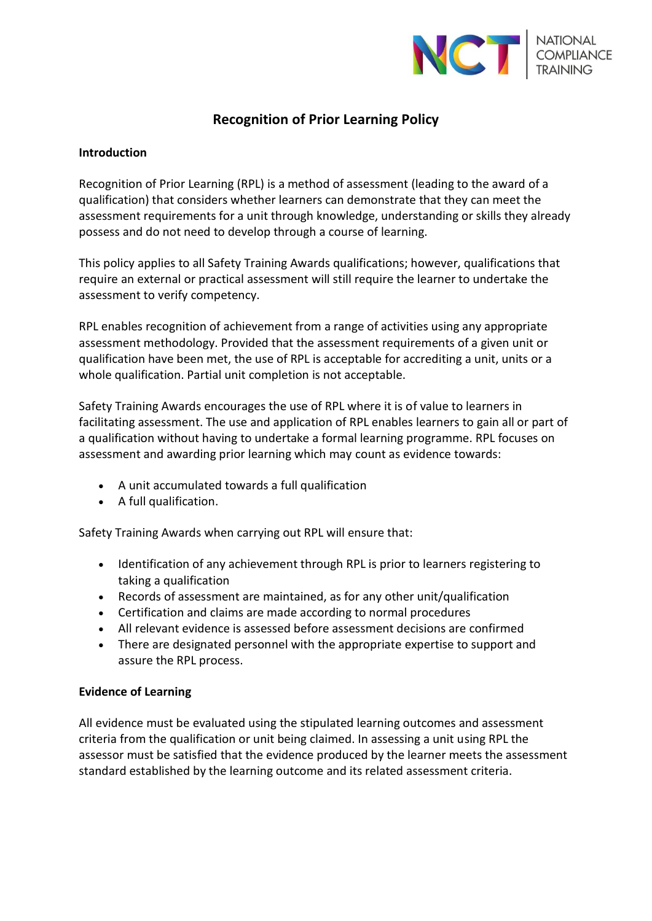

# **Recognition of Prior Learning Policy**

## **Introduction**

Recognition of Prior Learning (RPL) is a method of assessment (leading to the award of a qualification) that considers whether learners can demonstrate that they can meet the assessment requirements for a unit through knowledge, understanding or skills they already possess and do not need to develop through a course of learning.

This policy applies to all Safety Training Awards qualifications; however, qualifications that require an external or practical assessment will still require the learner to undertake the assessment to verify competency.

RPL enables recognition of achievement from a range of activities using any appropriate assessment methodology. Provided that the assessment requirements of a given unit or qualification have been met, the use of RPL is acceptable for accrediting a unit, units or a whole qualification. Partial unit completion is not acceptable.

Safety Training Awards encourages the use of RPL where it is of value to learners in facilitating assessment. The use and application of RPL enables learners to gain all or part of a qualification without having to undertake a formal learning programme. RPL focuses on assessment and awarding prior learning which may count as evidence towards:

- A unit accumulated towards a full qualification
- A full qualification.

Safety Training Awards when carrying out RPL will ensure that:

- Identification of any achievement through RPL is prior to learners registering to taking a qualification
- Records of assessment are maintained, as for any other unit/qualification
- Certification and claims are made according to normal procedures
- All relevant evidence is assessed before assessment decisions are confirmed
- There are designated personnel with the appropriate expertise to support and assure the RPL process.

## **Evidence of Learning**

All evidence must be evaluated using the stipulated learning outcomes and assessment criteria from the qualification or unit being claimed. In assessing a unit using RPL the assessor must be satisfied that the evidence produced by the learner meets the assessment standard established by the learning outcome and its related assessment criteria.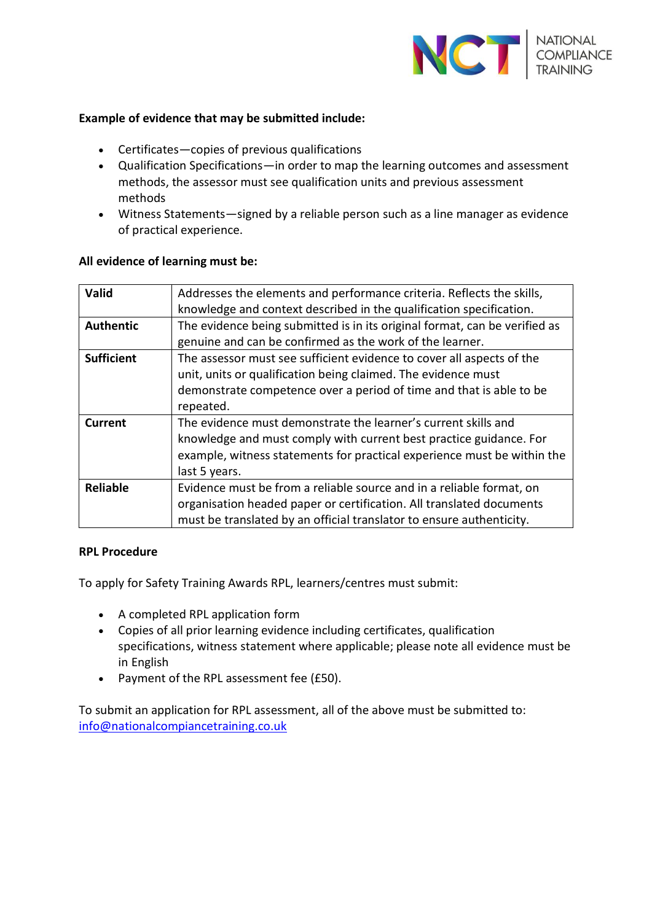

## **Example of evidence that may be submitted include:**

- Certificates—copies of previous qualifications
- Qualification Specifications—in order to map the learning outcomes and assessment methods, the assessor must see qualification units and previous assessment methods
- Witness Statements—signed by a reliable person such as a line manager as evidence of practical experience.

#### **All evidence of learning must be:**

| Valid             | Addresses the elements and performance criteria. Reflects the skills,<br>knowledge and context described in the qualification specification.                                                                                     |
|-------------------|----------------------------------------------------------------------------------------------------------------------------------------------------------------------------------------------------------------------------------|
| <b>Authentic</b>  | The evidence being submitted is in its original format, can be verified as<br>genuine and can be confirmed as the work of the learner.                                                                                           |
| <b>Sufficient</b> | The assessor must see sufficient evidence to cover all aspects of the<br>unit, units or qualification being claimed. The evidence must<br>demonstrate competence over a period of time and that is able to be<br>repeated.       |
| Current           | The evidence must demonstrate the learner's current skills and<br>knowledge and must comply with current best practice guidance. For<br>example, witness statements for practical experience must be within the<br>last 5 years. |
| <b>Reliable</b>   | Evidence must be from a reliable source and in a reliable format, on<br>organisation headed paper or certification. All translated documents<br>must be translated by an official translator to ensure authenticity.             |

#### **RPL Procedure**

To apply for Safety Training Awards RPL, learners/centres must submit:

- A completed RPL application form
- Copies of all prior learning evidence including certificates, qualification specifications, witness statement where applicable; please note all evidence must be in English
- Payment of the RPL assessment fee (£50).

To submit an application for RPL assessment, all of the above must be submitted to: [info@nationalcompiancetraining.co.uk](mailto:info@nationalcompiancetraining.co.uk)